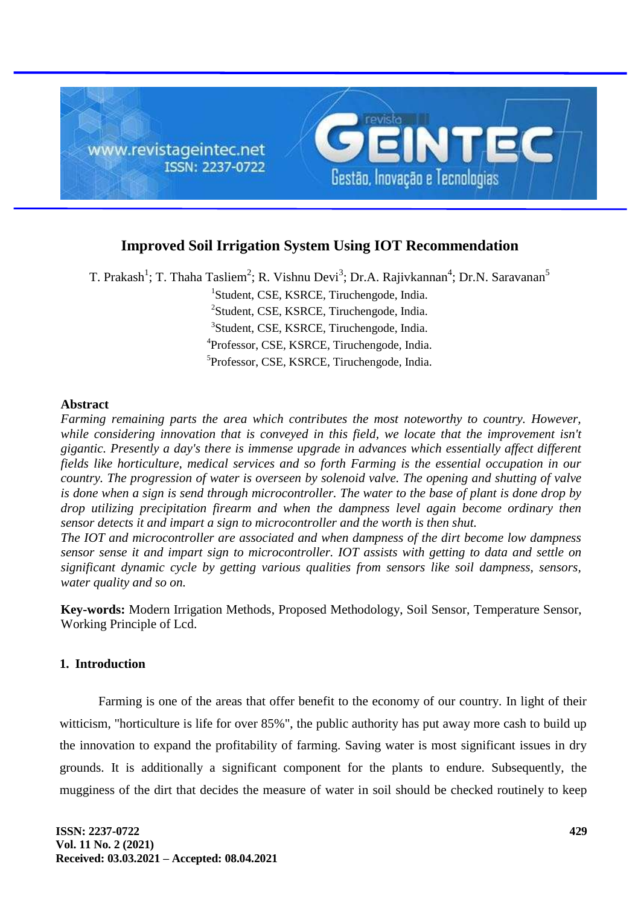

# **Improved Soil Irrigation System Using IOT Recommendation**

T. Prakash<sup>1</sup>; T. Thaha Tasliem<sup>2</sup>; R. Vishnu Devi<sup>3</sup>; Dr.A. Rajivkannan<sup>4</sup>; Dr.N. Saravanan<sup>5</sup> Student, CSE, KSRCE, Tiruchengode, India. <sup>2</sup>Student, CSE, KSRCE, Tiruchengode, India. Student, CSE, KSRCE, Tiruchengode, India. Professor, CSE, KSRCE, Tiruchengode, India. Professor, CSE, KSRCE, Tiruchengode, India.

## **Abstract**

*Farming remaining parts the area which contributes the most noteworthy to country. However, while considering innovation that is conveyed in this field, we locate that the improvement isn't gigantic. Presently a day's there is immense upgrade in advances which essentially affect different fields like horticulture, medical services and so forth Farming is the essential occupation in our country. The progression of water is overseen by solenoid valve. The opening and shutting of valve is done when a sign is send through microcontroller. The water to the base of plant is done drop by drop utilizing precipitation firearm and when the dampness level again become ordinary then sensor detects it and impart a sign to microcontroller and the worth is then shut.*

*The IOT and microcontroller are associated and when dampness of the dirt become low dampness sensor sense it and impart sign to microcontroller. IOT assists with getting to data and settle on significant dynamic cycle by getting various qualities from sensors like soil dampness, sensors, water quality and so on.*

**Key-words:** Modern Irrigation Methods, Proposed Methodology, Soil Sensor, Temperature Sensor, Working Principle of Lcd.

## **1. Introduction**

Farming is one of the areas that offer benefit to the economy of our country. In light of their witticism, "horticulture is life for over 85%", the public authority has put away more cash to build up the innovation to expand the profitability of farming. Saving water is most significant issues in dry grounds. It is additionally a significant component for the plants to endure. Subsequently, the mugginess of the dirt that decides the measure of water in soil should be checked routinely to keep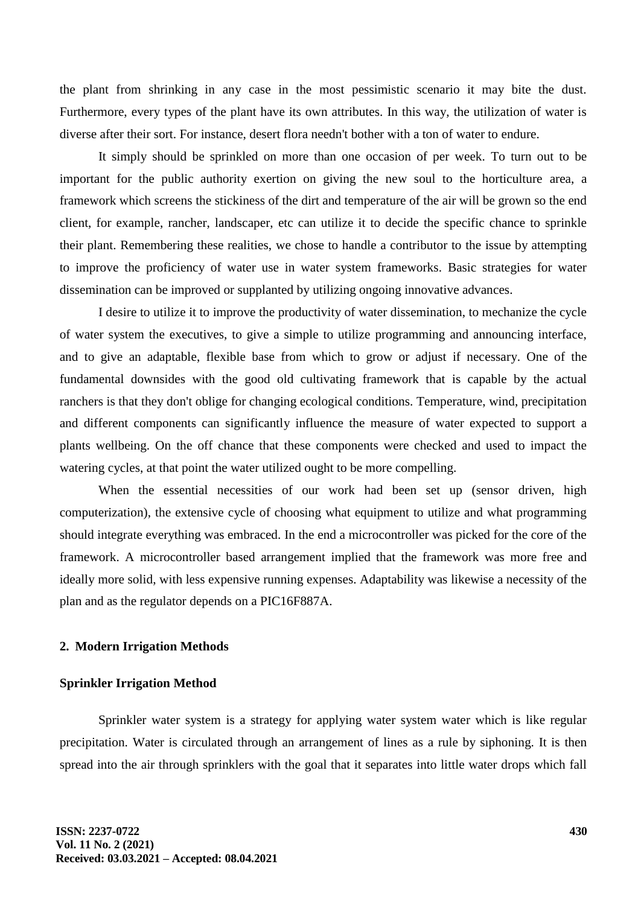the plant from shrinking in any case in the most pessimistic scenario it may bite the dust. Furthermore, every types of the plant have its own attributes. In this way, the utilization of water is diverse after their sort. For instance, desert flora needn't bother with a ton of water to endure.

It simply should be sprinkled on more than one occasion of per week. To turn out to be important for the public authority exertion on giving the new soul to the horticulture area, a framework which screens the stickiness of the dirt and temperature of the air will be grown so the end client, for example, rancher, landscaper, etc can utilize it to decide the specific chance to sprinkle their plant. Remembering these realities, we chose to handle a contributor to the issue by attempting to improve the proficiency of water use in water system frameworks. Basic strategies for water dissemination can be improved or supplanted by utilizing ongoing innovative advances.

I desire to utilize it to improve the productivity of water dissemination, to mechanize the cycle of water system the executives, to give a simple to utilize programming and announcing interface, and to give an adaptable, flexible base from which to grow or adjust if necessary. One of the fundamental downsides with the good old cultivating framework that is capable by the actual ranchers is that they don't oblige for changing ecological conditions. Temperature, wind, precipitation and different components can significantly influence the measure of water expected to support a plants wellbeing. On the off chance that these components were checked and used to impact the watering cycles, at that point the water utilized ought to be more compelling.

When the essential necessities of our work had been set up (sensor driven, high computerization), the extensive cycle of choosing what equipment to utilize and what programming should integrate everything was embraced. In the end a microcontroller was picked for the core of the framework. A microcontroller based arrangement implied that the framework was more free and ideally more solid, with less expensive running expenses. Adaptability was likewise a necessity of the plan and as the regulator depends on a PIC16F887A.

## **2. Modern Irrigation Methods**

## **Sprinkler Irrigation Method**

Sprinkler water system is a strategy for applying water system water which is like regular precipitation. Water is circulated through an arrangement of lines as a rule by siphoning. It is then spread into the air through sprinklers with the goal that it separates into little water drops which fall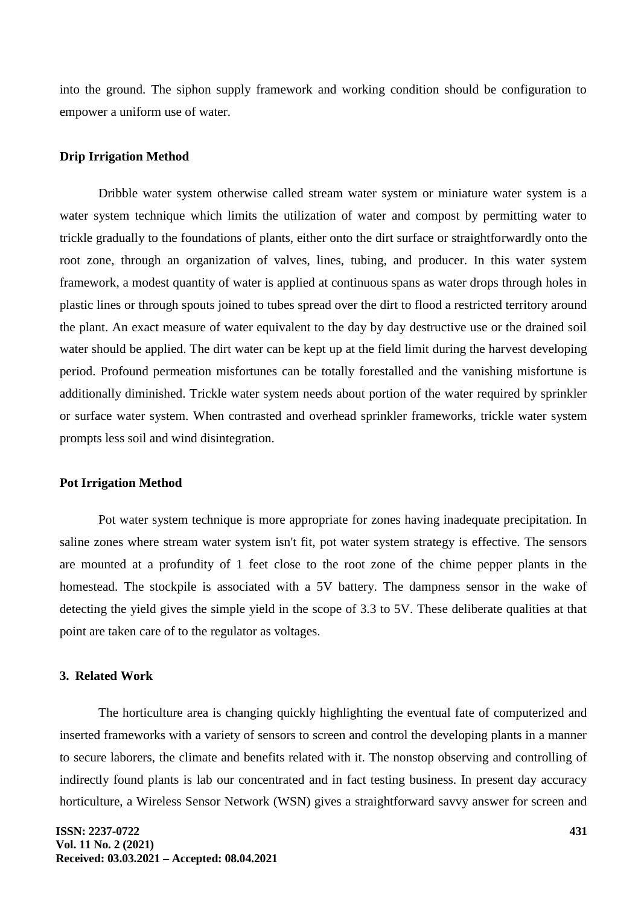into the ground. The siphon supply framework and working condition should be configuration to empower a uniform use of water.

## **Drip Irrigation Method**

Dribble water system otherwise called stream water system or miniature water system is a water system technique which limits the utilization of water and compost by permitting water to trickle gradually to the foundations of plants, either onto the dirt surface or straightforwardly onto the root zone, through an organization of valves, lines, tubing, and producer. In this water system framework, a modest quantity of water is applied at continuous spans as water drops through holes in plastic lines or through spouts joined to tubes spread over the dirt to flood a restricted territory around the plant. An exact measure of water equivalent to the day by day destructive use or the drained soil water should be applied. The dirt water can be kept up at the field limit during the harvest developing period. Profound permeation misfortunes can be totally forestalled and the vanishing misfortune is additionally diminished. Trickle water system needs about portion of the water required by sprinkler or surface water system. When contrasted and overhead sprinkler frameworks, trickle water system prompts less soil and wind disintegration.

### **Pot Irrigation Method**

Pot water system technique is more appropriate for zones having inadequate precipitation. In saline zones where stream water system isn't fit, pot water system strategy is effective. The sensors are mounted at a profundity of 1 feet close to the root zone of the chime pepper plants in the homestead. The stockpile is associated with a 5V battery. The dampness sensor in the wake of detecting the yield gives the simple yield in the scope of 3.3 to 5V. These deliberate qualities at that point are taken care of to the regulator as voltages.

## **3. Related Work**

The horticulture area is changing quickly highlighting the eventual fate of computerized and inserted frameworks with a variety of sensors to screen and control the developing plants in a manner to secure laborers, the climate and benefits related with it. The nonstop observing and controlling of indirectly found plants is lab our concentrated and in fact testing business. In present day accuracy horticulture, a Wireless Sensor Network (WSN) gives a straightforward savvy answer for screen and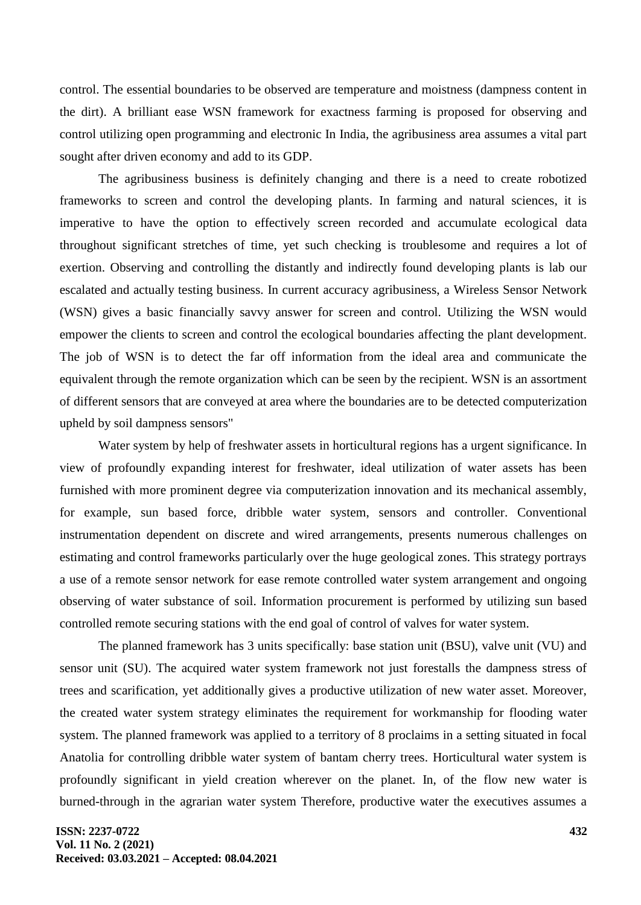control. The essential boundaries to be observed are temperature and moistness (dampness content in the dirt). A brilliant ease WSN framework for exactness farming is proposed for observing and control utilizing open programming and electronic In India, the agribusiness area assumes a vital part sought after driven economy and add to its GDP.

The agribusiness business is definitely changing and there is a need to create robotized frameworks to screen and control the developing plants. In farming and natural sciences, it is imperative to have the option to effectively screen recorded and accumulate ecological data throughout significant stretches of time, yet such checking is troublesome and requires a lot of exertion. Observing and controlling the distantly and indirectly found developing plants is lab our escalated and actually testing business. In current accuracy agribusiness, a Wireless Sensor Network (WSN) gives a basic financially savvy answer for screen and control. Utilizing the WSN would empower the clients to screen and control the ecological boundaries affecting the plant development. The job of WSN is to detect the far off information from the ideal area and communicate the equivalent through the remote organization which can be seen by the recipient. WSN is an assortment of different sensors that are conveyed at area where the boundaries are to be detected computerization upheld by soil dampness sensors"

Water system by help of freshwater assets in horticultural regions has a urgent significance. In view of profoundly expanding interest for freshwater, ideal utilization of water assets has been furnished with more prominent degree via computerization innovation and its mechanical assembly, for example, sun based force, dribble water system, sensors and controller. Conventional instrumentation dependent on discrete and wired arrangements, presents numerous challenges on estimating and control frameworks particularly over the huge geological zones. This strategy portrays a use of a remote sensor network for ease remote controlled water system arrangement and ongoing observing of water substance of soil. Information procurement is performed by utilizing sun based controlled remote securing stations with the end goal of control of valves for water system.

The planned framework has 3 units specifically: base station unit (BSU), valve unit (VU) and sensor unit (SU). The acquired water system framework not just forestalls the dampness stress of trees and scarification, yet additionally gives a productive utilization of new water asset. Moreover, the created water system strategy eliminates the requirement for workmanship for flooding water system. The planned framework was applied to a territory of 8 proclaims in a setting situated in focal Anatolia for controlling dribble water system of bantam cherry trees. Horticultural water system is profoundly significant in yield creation wherever on the planet. In, of the flow new water is burned-through in the agrarian water system Therefore, productive water the executives assumes a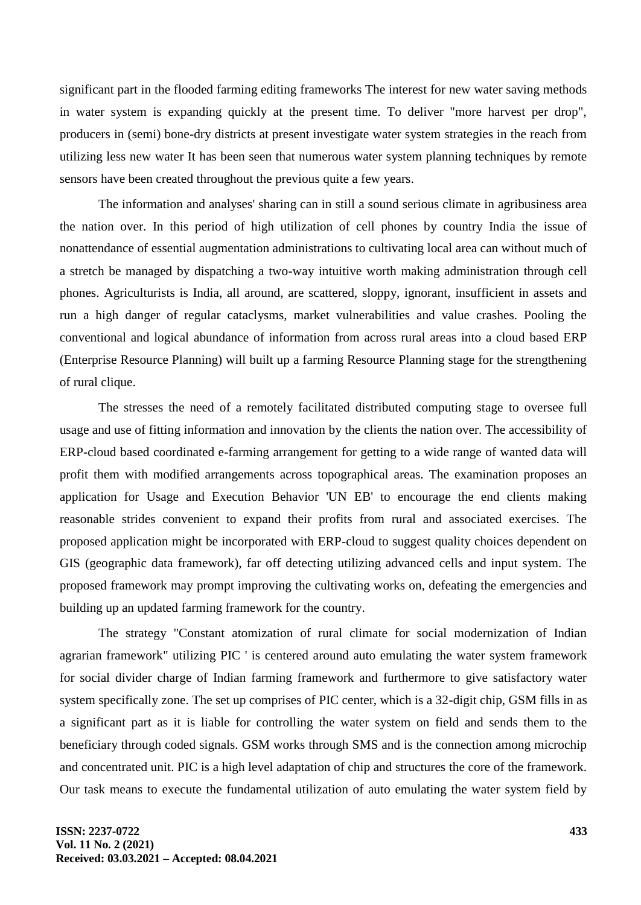significant part in the flooded farming editing frameworks The interest for new water saving methods in water system is expanding quickly at the present time. To deliver "more harvest per drop", producers in (semi) bone-dry districts at present investigate water system strategies in the reach from utilizing less new water It has been seen that numerous water system planning techniques by remote sensors have been created throughout the previous quite a few years.

The information and analyses' sharing can in still a sound serious climate in agribusiness area the nation over. In this period of high utilization of cell phones by country India the issue of nonattendance of essential augmentation administrations to cultivating local area can without much of a stretch be managed by dispatching a two-way intuitive worth making administration through cell phones. Agriculturists is India, all around, are scattered, sloppy, ignorant, insufficient in assets and run a high danger of regular cataclysms, market vulnerabilities and value crashes. Pooling the conventional and logical abundance of information from across rural areas into a cloud based ERP (Enterprise Resource Planning) will built up a farming Resource Planning stage for the strengthening of rural clique.

The stresses the need of a remotely facilitated distributed computing stage to oversee full usage and use of fitting information and innovation by the clients the nation over. The accessibility of ERP-cloud based coordinated e-farming arrangement for getting to a wide range of wanted data will profit them with modified arrangements across topographical areas. The examination proposes an application for Usage and Execution Behavior 'UN EB' to encourage the end clients making reasonable strides convenient to expand their profits from rural and associated exercises. The proposed application might be incorporated with ERP-cloud to suggest quality choices dependent on GIS (geographic data framework), far off detecting utilizing advanced cells and input system. The proposed framework may prompt improving the cultivating works on, defeating the emergencies and building up an updated farming framework for the country.

The strategy "Constant atomization of rural climate for social modernization of Indian agrarian framework" utilizing PIC ' is centered around auto emulating the water system framework for social divider charge of Indian farming framework and furthermore to give satisfactory water system specifically zone. The set up comprises of PIC center, which is a 32-digit chip, GSM fills in as a significant part as it is liable for controlling the water system on field and sends them to the beneficiary through coded signals. GSM works through SMS and is the connection among microchip and concentrated unit. PIC is a high level adaptation of chip and structures the core of the framework. Our task means to execute the fundamental utilization of auto emulating the water system field by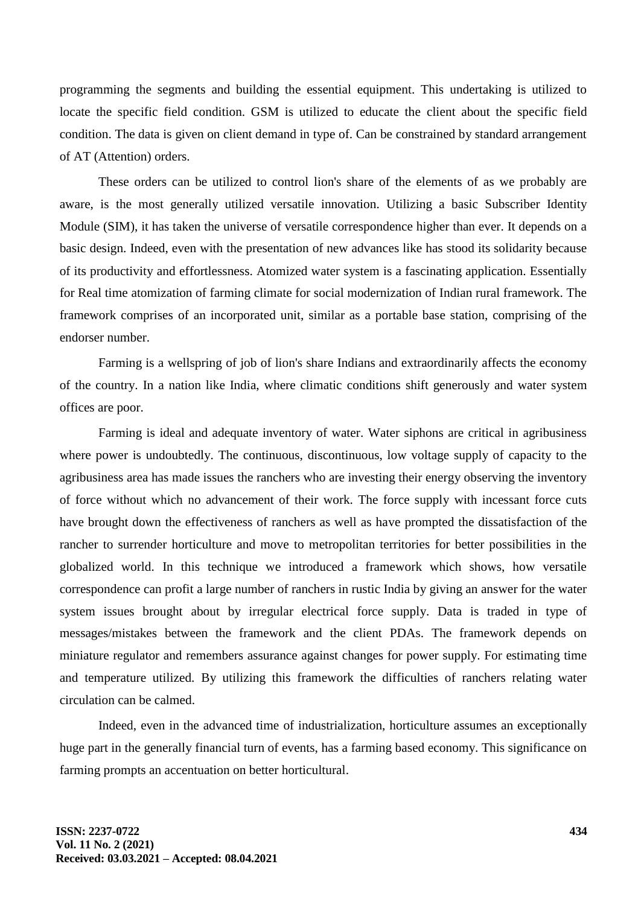programming the segments and building the essential equipment. This undertaking is utilized to locate the specific field condition. GSM is utilized to educate the client about the specific field condition. The data is given on client demand in type of. Can be constrained by standard arrangement of AT (Attention) orders.

These orders can be utilized to control lion's share of the elements of as we probably are aware, is the most generally utilized versatile innovation. Utilizing a basic Subscriber Identity Module (SIM), it has taken the universe of versatile correspondence higher than ever. It depends on a basic design. Indeed, even with the presentation of new advances like has stood its solidarity because of its productivity and effortlessness. Atomized water system is a fascinating application. Essentially for Real time atomization of farming climate for social modernization of Indian rural framework. The framework comprises of an incorporated unit, similar as a portable base station, comprising of the endorser number.

Farming is a wellspring of job of lion's share Indians and extraordinarily affects the economy of the country. In a nation like India, where climatic conditions shift generously and water system offices are poor.

Farming is ideal and adequate inventory of water. Water siphons are critical in agribusiness where power is undoubtedly. The continuous, discontinuous, low voltage supply of capacity to the agribusiness area has made issues the ranchers who are investing their energy observing the inventory of force without which no advancement of their work. The force supply with incessant force cuts have brought down the effectiveness of ranchers as well as have prompted the dissatisfaction of the rancher to surrender horticulture and move to metropolitan territories for better possibilities in the globalized world. In this technique we introduced a framework which shows, how versatile correspondence can profit a large number of ranchers in rustic India by giving an answer for the water system issues brought about by irregular electrical force supply. Data is traded in type of messages/mistakes between the framework and the client PDAs. The framework depends on miniature regulator and remembers assurance against changes for power supply. For estimating time and temperature utilized. By utilizing this framework the difficulties of ranchers relating water circulation can be calmed.

Indeed, even in the advanced time of industrialization, horticulture assumes an exceptionally huge part in the generally financial turn of events, has a farming based economy. This significance on farming prompts an accentuation on better horticultural.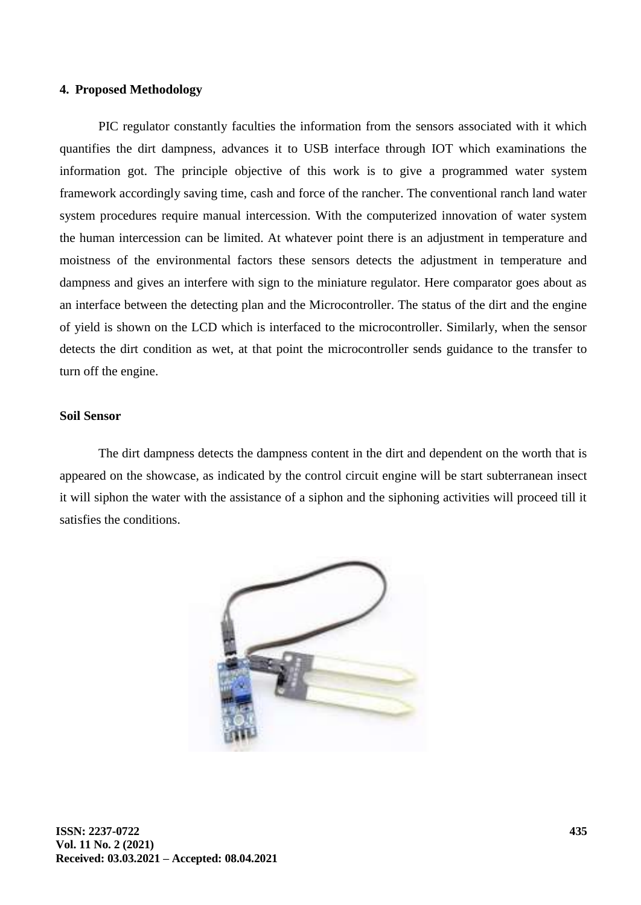### **4. Proposed Methodology**

PIC regulator constantly faculties the information from the sensors associated with it which quantifies the dirt dampness, advances it to USB interface through IOT which examinations the information got. The principle objective of this work is to give a programmed water system framework accordingly saving time, cash and force of the rancher. The conventional ranch land water system procedures require manual intercession. With the computerized innovation of water system the human intercession can be limited. At whatever point there is an adjustment in temperature and moistness of the environmental factors these sensors detects the adjustment in temperature and dampness and gives an interfere with sign to the miniature regulator. Here comparator goes about as an interface between the detecting plan and the Microcontroller. The status of the dirt and the engine of yield is shown on the LCD which is interfaced to the microcontroller. Similarly, when the sensor detects the dirt condition as wet, at that point the microcontroller sends guidance to the transfer to turn off the engine.

### **Soil Sensor**

The dirt dampness detects the dampness content in the dirt and dependent on the worth that is appeared on the showcase, as indicated by the control circuit engine will be start subterranean insect it will siphon the water with the assistance of a siphon and the siphoning activities will proceed till it satisfies the conditions.

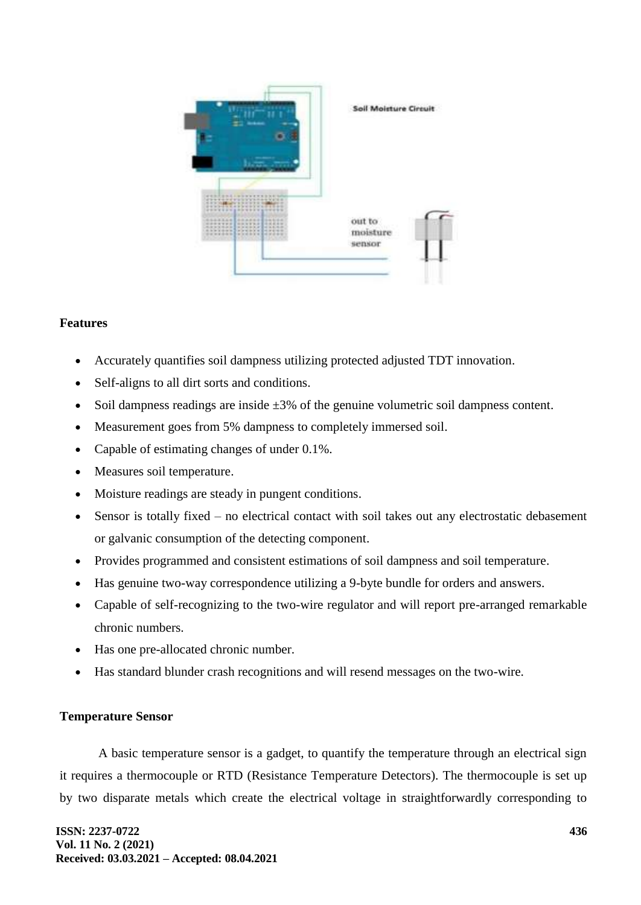

## **Features**

- Accurately quantifies soil dampness utilizing protected adjusted TDT innovation.
- Self-aligns to all dirt sorts and conditions.
- $\bullet$  Soil dampness readings are inside  $\pm 3\%$  of the genuine volumetric soil dampness content.
- Measurement goes from 5% dampness to completely immersed soil.
- Capable of estimating changes of under 0.1%.
- Measures soil temperature.
- Moisture readings are steady in pungent conditions.
- Sensor is totally fixed no electrical contact with soil takes out any electrostatic debasement or galvanic consumption of the detecting component.
- Provides programmed and consistent estimations of soil dampness and soil temperature.
- Has genuine two-way correspondence utilizing a 9-byte bundle for orders and answers.
- Capable of self-recognizing to the two-wire regulator and will report pre-arranged remarkable chronic numbers.
- Has one pre-allocated chronic number.
- Has standard blunder crash recognitions and will resend messages on the two-wire.

## **Temperature Sensor**

A basic temperature sensor is a gadget, to quantify the temperature through an electrical sign it requires a thermocouple or RTD (Resistance Temperature Detectors). The thermocouple is set up by two disparate metals which create the electrical voltage in straightforwardly corresponding to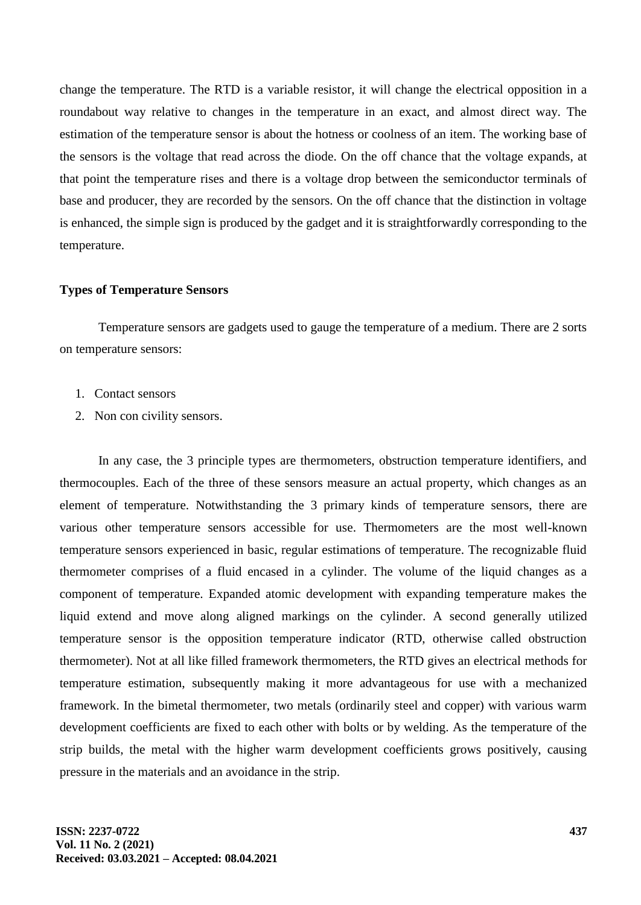change the temperature. The RTD is a variable resistor, it will change the electrical opposition in a roundabout way relative to changes in the temperature in an exact, and almost direct way. The estimation of the temperature sensor is about the hotness or coolness of an item. The working base of the sensors is the voltage that read across the diode. On the off chance that the voltage expands, at that point the temperature rises and there is a voltage drop between the semiconductor terminals of base and producer, they are recorded by the sensors. On the off chance that the distinction in voltage is enhanced, the simple sign is produced by the gadget and it is straightforwardly corresponding to the temperature.

### **Types of Temperature Sensors**

Temperature sensors are gadgets used to gauge the temperature of a medium. There are 2 sorts on temperature sensors:

- 1. Contact sensors
- 2. Non con civility sensors.

In any case, the 3 principle types are thermometers, obstruction temperature identifiers, and thermocouples. Each of the three of these sensors measure an actual property, which changes as an element of temperature. Notwithstanding the 3 primary kinds of temperature sensors, there are various other temperature sensors accessible for use. Thermometers are the most well-known temperature sensors experienced in basic, regular estimations of temperature. The recognizable fluid thermometer comprises of a fluid encased in a cylinder. The volume of the liquid changes as a component of temperature. Expanded atomic development with expanding temperature makes the liquid extend and move along aligned markings on the cylinder. A second generally utilized temperature sensor is the opposition temperature indicator (RTD, otherwise called obstruction thermometer). Not at all like filled framework thermometers, the RTD gives an electrical methods for temperature estimation, subsequently making it more advantageous for use with a mechanized framework. In the bimetal thermometer, two metals (ordinarily steel and copper) with various warm development coefficients are fixed to each other with bolts or by welding. As the temperature of the strip builds, the metal with the higher warm development coefficients grows positively, causing pressure in the materials and an avoidance in the strip.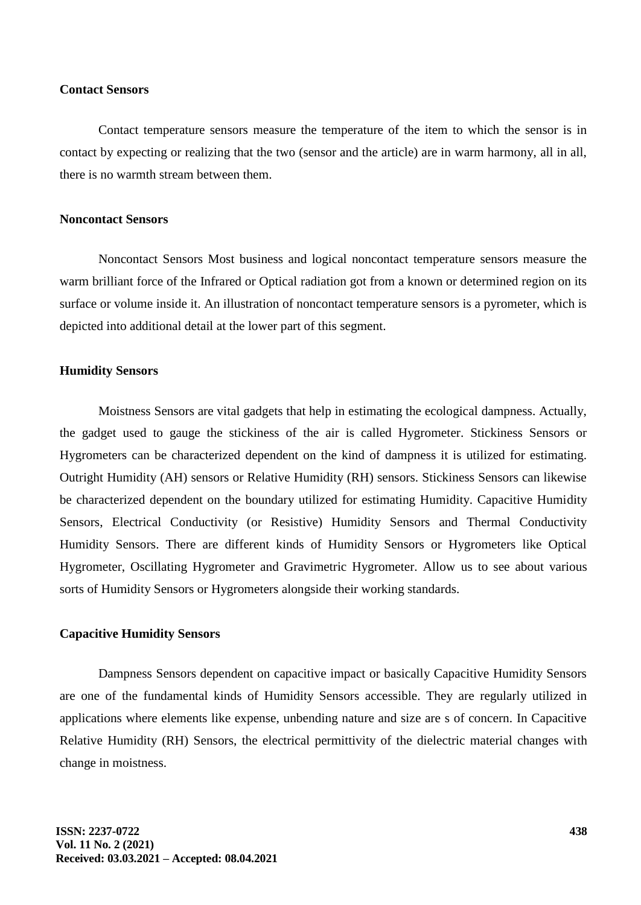#### **Contact Sensors**

Contact temperature sensors measure the temperature of the item to which the sensor is in contact by expecting or realizing that the two (sensor and the article) are in warm harmony, all in all, there is no warmth stream between them.

## **Noncontact Sensors**

Noncontact Sensors Most business and logical noncontact temperature sensors measure the warm brilliant force of the Infrared or Optical radiation got from a known or determined region on its surface or volume inside it. An illustration of noncontact temperature sensors is a pyrometer, which is depicted into additional detail at the lower part of this segment.

### **Humidity Sensors**

Moistness Sensors are vital gadgets that help in estimating the ecological dampness. Actually, the gadget used to gauge the stickiness of the air is called Hygrometer. Stickiness Sensors or Hygrometers can be characterized dependent on the kind of dampness it is utilized for estimating. Outright Humidity (AH) sensors or Relative Humidity (RH) sensors. Stickiness Sensors can likewise be characterized dependent on the boundary utilized for estimating Humidity. Capacitive Humidity Sensors, Electrical Conductivity (or Resistive) Humidity Sensors and Thermal Conductivity Humidity Sensors. There are different kinds of Humidity Sensors or Hygrometers like Optical Hygrometer, Oscillating Hygrometer and Gravimetric Hygrometer. Allow us to see about various sorts of Humidity Sensors or Hygrometers alongside their working standards.

#### **Capacitive Humidity Sensors**

Dampness Sensors dependent on capacitive impact or basically Capacitive Humidity Sensors are one of the fundamental kinds of Humidity Sensors accessible. They are regularly utilized in applications where elements like expense, unbending nature and size are s of concern. In Capacitive Relative Humidity (RH) Sensors, the electrical permittivity of the dielectric material changes with change in moistness.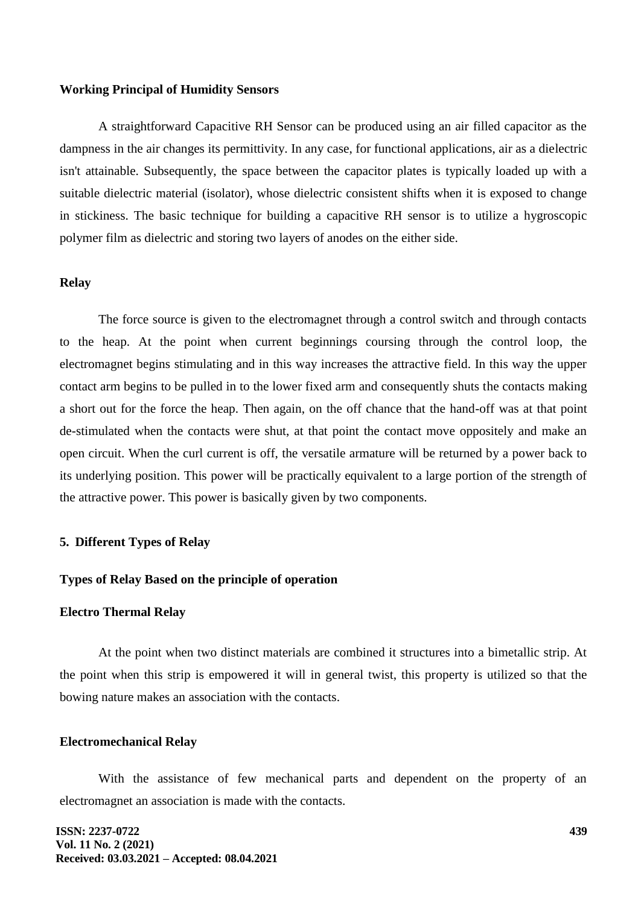#### **Working Principal of Humidity Sensors**

A straightforward Capacitive RH Sensor can be produced using an air filled capacitor as the dampness in the air changes its permittivity. In any case, for functional applications, air as a dielectric isn't attainable. Subsequently, the space between the capacitor plates is typically loaded up with a suitable dielectric material (isolator), whose dielectric consistent shifts when it is exposed to change in stickiness. The basic technique for building a capacitive RH sensor is to utilize a hygroscopic polymer film as dielectric and storing two layers of anodes on the either side.

### **Relay**

The force source is given to the electromagnet through a control switch and through contacts to the heap. At the point when current beginnings coursing through the control loop, the electromagnet begins stimulating and in this way increases the attractive field. In this way the upper contact arm begins to be pulled in to the lower fixed arm and consequently shuts the contacts making a short out for the force the heap. Then again, on the off chance that the hand-off was at that point de-stimulated when the contacts were shut, at that point the contact move oppositely and make an open circuit. When the curl current is off, the versatile armature will be returned by a power back to its underlying position. This power will be practically equivalent to a large portion of the strength of the attractive power. This power is basically given by two components.

#### **5. Different Types of Relay**

#### **Types of Relay Based on the principle of operation**

#### **Electro Thermal Relay**

At the point when two distinct materials are combined it structures into a bimetallic strip. At the point when this strip is empowered it will in general twist, this property is utilized so that the bowing nature makes an association with the contacts.

## **Electromechanical Relay**

With the assistance of few mechanical parts and dependent on the property of an electromagnet an association is made with the contacts.

**ISSN: 2237-0722 Vol. 11 No. 2 (2021) Received: 03.03.2021 – Accepted: 08.04.2021**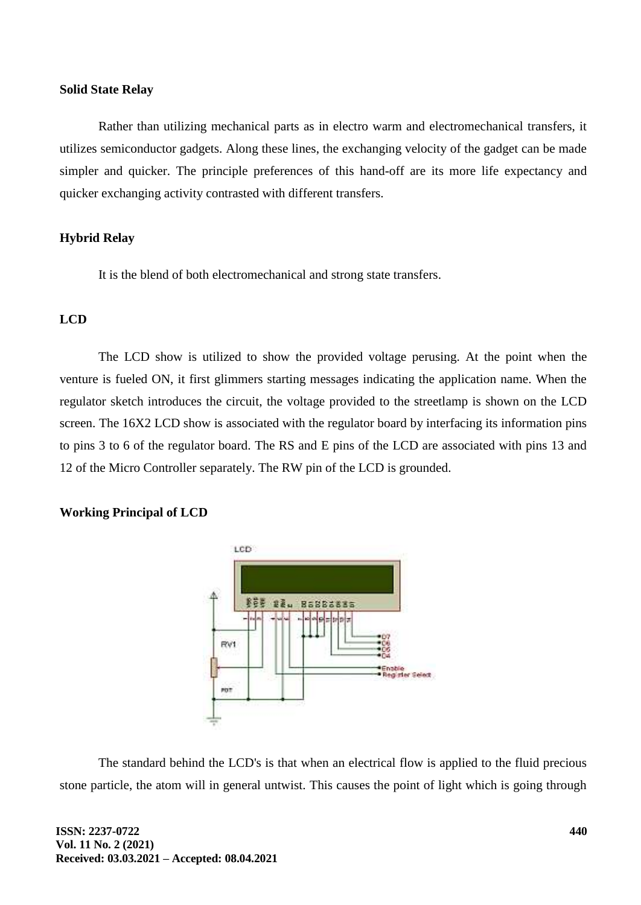#### **Solid State Relay**

Rather than utilizing mechanical parts as in electro warm and electromechanical transfers, it utilizes semiconductor gadgets. Along these lines, the exchanging velocity of the gadget can be made simpler and quicker. The principle preferences of this hand-off are its more life expectancy and quicker exchanging activity contrasted with different transfers.

## **Hybrid Relay**

It is the blend of both electromechanical and strong state transfers.

## **LCD**

The LCD show is utilized to show the provided voltage perusing. At the point when the venture is fueled ON, it first glimmers starting messages indicating the application name. When the regulator sketch introduces the circuit, the voltage provided to the streetlamp is shown on the LCD screen. The 16X2 LCD show is associated with the regulator board by interfacing its information pins to pins 3 to 6 of the regulator board. The RS and E pins of the LCD are associated with pins 13 and 12 of the Micro Controller separately. The RW pin of the LCD is grounded.

## **Working Principal of LCD**



The standard behind the LCD's is that when an electrical flow is applied to the fluid precious stone particle, the atom will in general untwist. This causes the point of light which is going through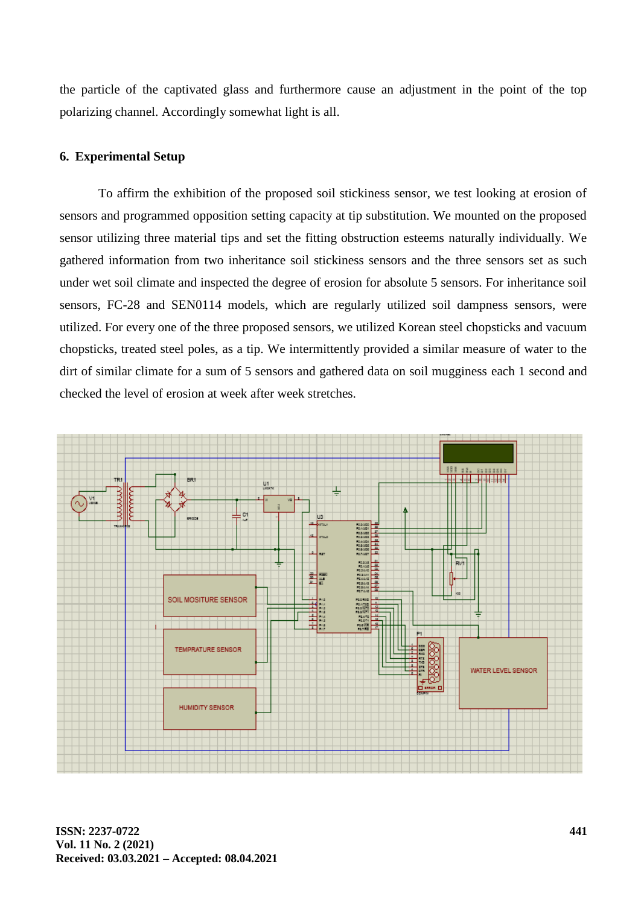the particle of the captivated glass and furthermore cause an adjustment in the point of the top polarizing channel. Accordingly somewhat light is all.

## **6. Experimental Setup**

To affirm the exhibition of the proposed soil stickiness sensor, we test looking at erosion of sensors and programmed opposition setting capacity at tip substitution. We mounted on the proposed sensor utilizing three material tips and set the fitting obstruction esteems naturally individually. We gathered information from two inheritance soil stickiness sensors and the three sensors set as such under wet soil climate and inspected the degree of erosion for absolute 5 sensors. For inheritance soil sensors, FC-28 and SEN0114 models, which are regularly utilized soil dampness sensors, were utilized. For every one of the three proposed sensors, we utilized Korean steel chopsticks and vacuum chopsticks, treated steel poles, as a tip. We intermittently provided a similar measure of water to the dirt of similar climate for a sum of 5 sensors and gathered data on soil mugginess each 1 second and checked the level of erosion at week after week stretches.